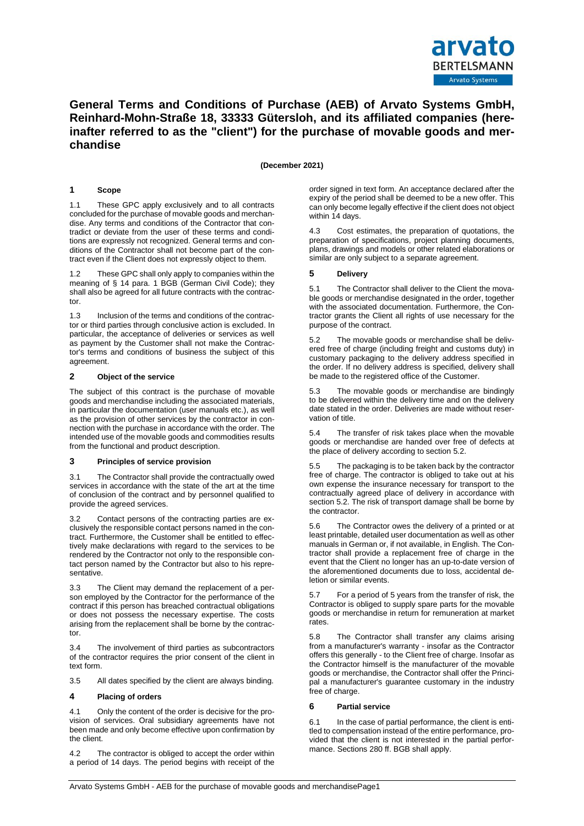

# **General Terms and Conditions of Purchase (AEB) of Arvato Systems GmbH, Reinhard-Mohn-Straße 18, 33333 Gütersloh, and its affiliated companies (hereinafter referred to as the "client") for the purchase of movable goods and merchandise**

# **(December 2021)**

# **1 Scope**

1.1 These GPC apply exclusively and to all contracts concluded for the purchase of movable goods and merchandise. Any terms and conditions of the Contractor that contradict or deviate from the user of these terms and conditions are expressly not recognized. General terms and conditions of the Contractor shall not become part of the contract even if the Client does not expressly object to them.

1.2 These GPC shall only apply to companies within the meaning of § 14 para. 1 BGB (German Civil Code); they shall also be agreed for all future contracts with the contractor.

1.3 Inclusion of the terms and conditions of the contractor or third parties through conclusive action is excluded. In particular, the acceptance of deliveries or services as well as payment by the Customer shall not make the Contractor's terms and conditions of business the subject of this agreement.

## **2 Object of the service**

The subject of this contract is the purchase of movable goods and merchandise including the associated materials, in particular the documentation (user manuals etc.), as well as the provision of other services by the contractor in connection with the purchase in accordance with the order. The intended use of the movable goods and commodities results from the functional and product description.

## **3 Principles of service provision**

3.1 The Contractor shall provide the contractually owed services in accordance with the state of the art at the time of conclusion of the contract and by personnel qualified to provide the agreed services.

3.2 Contact persons of the contracting parties are exclusively the responsible contact persons named in the contract. Furthermore, the Customer shall be entitled to effectively make declarations with regard to the services to be rendered by the Contractor not only to the responsible contact person named by the Contractor but also to his representative.

3.3 The Client may demand the replacement of a person employed by the Contractor for the performance of the contract if this person has breached contractual obligations or does not possess the necessary expertise. The costs arising from the replacement shall be borne by the contractor.

3.4 The involvement of third parties as subcontractors of the contractor requires the prior consent of the client in text form.

3.5 All dates specified by the client are always binding.

## **4 Placing of orders**

4.1 Only the content of the order is decisive for the provision of services. Oral subsidiary agreements have not been made and only become effective upon confirmation by the client.

4.2 The contractor is obliged to accept the order within a period of 14 days. The period begins with receipt of the order signed in text form. An acceptance declared after the expiry of the period shall be deemed to be a new offer. This can only become legally effective if the client does not object within 14 days.

4.3 Cost estimates, the preparation of quotations, the preparation of specifications, project planning documents, plans, drawings and models or other related elaborations or similar are only subject to a separate agreement.

# **5 Delivery**

5.1 The Contractor shall deliver to the Client the movable goods or merchandise designated in the order, together with the associated documentation. Furthermore, the Contractor grants the Client all rights of use necessary for the purpose of the contract.

<span id="page-0-0"></span>5.2 The movable goods or merchandise shall be delivered free of charge (including freight and customs duty) in customary packaging to the delivery address specified in the order. If no delivery address is specified, delivery shall be made to the registered office of the Customer.

5.3 The movable goods or merchandise are bindingly to be delivered within the delivery time and on the delivery date stated in the order. Deliveries are made without reservation of title.

5.4 The transfer of risk takes place when the movable goods or merchandise are handed over free of defects at the place of delivery according to section [5.2.](#page-0-0)

5.5 The packaging is to be taken back by the contractor free of charge. The contractor is obliged to take out at his own expense the insurance necessary for transport to the contractually agreed place of delivery in accordance with section [5.2.](#page-0-0) The risk of transport damage shall be borne by the contractor.

5.6 The Contractor owes the delivery of a printed or at least printable, detailed user documentation as well as other manuals in German or, if not available, in English. The Contractor shall provide a replacement free of charge in the event that the Client no longer has an up-to-date version of the aforementioned documents due to loss, accidental deletion or similar events.

5.7 For a period of 5 years from the transfer of risk, the Contractor is obliged to supply spare parts for the movable goods or merchandise in return for remuneration at market rates.

5.8 The Contractor shall transfer any claims arising from a manufacturer's warranty - insofar as the Contractor offers this generally - to the Client free of charge. Insofar as the Contractor himself is the manufacturer of the movable goods or merchandise, the Contractor shall offer the Principal a manufacturer's guarantee customary in the industry free of charge.

## **6 Partial service**

6.1 In the case of partial performance, the client is entitled to compensation instead of the entire performance, provided that the client is not interested in the partial performance. Sections 280 ff. BGB shall apply.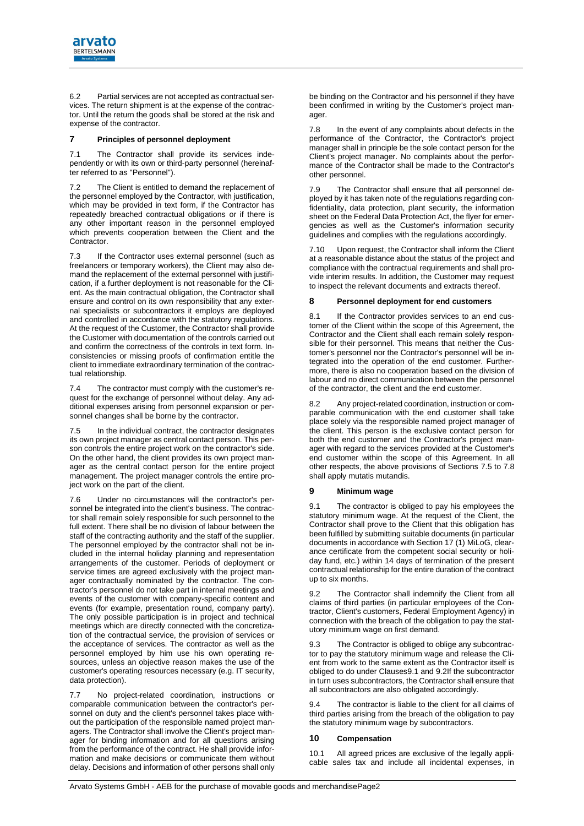

6.2 Partial services are not accepted as contractual services. The return shipment is at the expense of the contractor. Until the return the goods shall be stored at the risk and expense of the contractor.

# **7 Principles of personnel deployment**

7.1 The Contractor shall provide its services independently or with its own or third-party personnel (hereinafter referred to as "Personnel").

7.2 The Client is entitled to demand the replacement of the personnel employed by the Contractor, with justification, which may be provided in text form, if the Contractor has repeatedly breached contractual obligations or if there is any other important reason in the personnel employed which prevents cooperation between the Client and the Contractor.

7.3 If the Contractor uses external personnel (such as freelancers or temporary workers), the Client may also demand the replacement of the external personnel with justification, if a further deployment is not reasonable for the Client. As the main contractual obligation, the Contractor shall ensure and control on its own responsibility that any external specialists or subcontractors it employs are deployed and controlled in accordance with the statutory regulations. At the request of the Customer, the Contractor shall provide the Customer with documentation of the controls carried out and confirm the correctness of the controls in text form. Inconsistencies or missing proofs of confirmation entitle the client to immediate extraordinary termination of the contractual relationship.

7.4 The contractor must comply with the customer's request for the exchange of personnel without delay. Any additional expenses arising from personnel expansion or personnel changes shall be borne by the contractor.

<span id="page-1-0"></span>7.5 In the individual contract, the contractor designates its own project manager as central contact person. This person controls the entire project work on the contractor's side. On the other hand, the client provides its own project manager as the central contact person for the entire project management. The project manager controls the entire project work on the part of the client.

7.6 Under no circumstances will the contractor's personnel be integrated into the client's business. The contractor shall remain solely responsible for such personnel to the full extent. There shall be no division of labour between the staff of the contracting authority and the staff of the supplier. The personnel employed by the contractor shall not be included in the internal holiday planning and representation arrangements of the customer. Periods of deployment or service times are agreed exclusively with the project manager contractually nominated by the contractor. The contractor's personnel do not take part in internal meetings and events of the customer with company-specific content and events (for example, presentation round, company party). The only possible participation is in project and technical meetings which are directly connected with the concretization of the contractual service, the provision of services or the acceptance of services. The contractor as well as the personnel employed by him use his own operating resources, unless an objective reason makes the use of the customer's operating resources necessary (e.g. IT security, data protection).

7.7 No project-related coordination, instructions or comparable communication between the contractor's personnel on duty and the client's personnel takes place without the participation of the responsible named project managers. The Contractor shall involve the Client's project manager for binding information and for all questions arising from the performance of the contract. He shall provide information and make decisions or communicate them without delay. Decisions and information of other persons shall only

be binding on the Contractor and his personnel if they have been confirmed in writing by the Customer's project manager.

7.8 In the event of any complaints about defects in the performance of the Contractor, the Contractor's project manager shall in principle be the sole contact person for the Client's project manager. No complaints about the performance of the Contractor shall be made to the Contractor's other personnel.

7.9 The Contractor shall ensure that all personnel deployed by it has taken note of the regulations regarding confidentiality, data protection, plant security, the information sheet on the Federal Data Protection Act, the flyer for emergencies as well as the Customer's information security guidelines and complies with the regulations accordingly.

7.10 Upon request, the Contractor shall inform the Client at a reasonable distance about the status of the project and compliance with the contractual requirements and shall provide interim results. In addition, the Customer may request to inspect the relevant documents and extracts thereof.

#### **8 Personnel deployment for end customers**

8.1 If the Contractor provides services to an end customer of the Client within the scope of this Agreement, the Contractor and the Client shall each remain solely responsible for their personnel. This means that neither the Customer's personnel nor the Contractor's personnel will be integrated into the operation of the end customer. Furthermore, there is also no cooperation based on the division of labour and no direct communication between the personnel of the contractor, the client and the end customer.

8.2 Any project-related coordination, instruction or comparable communication with the end customer shall take place solely via the responsible named project manager of the client. This person is the exclusive contact person for both the end customer and the Contractor's project manager with regard to the services provided at the Customer's end customer within the scope of this Agreement. In all other respects, the above provisions of Sections [7.5](#page-1-0) to 7.8 shall apply mutatis mutandis.

## **9 Minimum wage**

<span id="page-1-1"></span>9.1 The contractor is obliged to pay his employees the statutory minimum wage. At the request of the Client, the Contractor shall prove to the Client that this obligation has been fulfilled by submitting suitable documents (in particular documents in accordance with Section 17 (1) MiLoG, clearance certificate from the competent social security or holiday fund, etc.) within 14 days of termination of the present contractual relationship for the entire duration of the contract up to six months.

<span id="page-1-2"></span>9.2 The Contractor shall indemnify the Client from all claims of third parties (in particular employees of the Contractor, Client's customers, Federal Employment Agency) in connection with the breach of the obligation to pay the statutory minimum wage on first demand.

9.3 The Contractor is obliged to oblige any subcontractor to pay the statutory minimum wage and release the Client from work to the same extent as the Contractor itself is obliged to do under Clause[s9.1](#page-1-1) an[d 9.2If](#page-1-2) the subcontractor in turn uses subcontractors, the Contractor shall ensure that all subcontractors are also obligated accordingly.

9.4 The contractor is liable to the client for all claims of third parties arising from the breach of the obligation to pay the statutory minimum wage by subcontractors.

## **10 Compensation**

10.1 All agreed prices are exclusive of the legally applicable sales tax and include all incidental expenses, in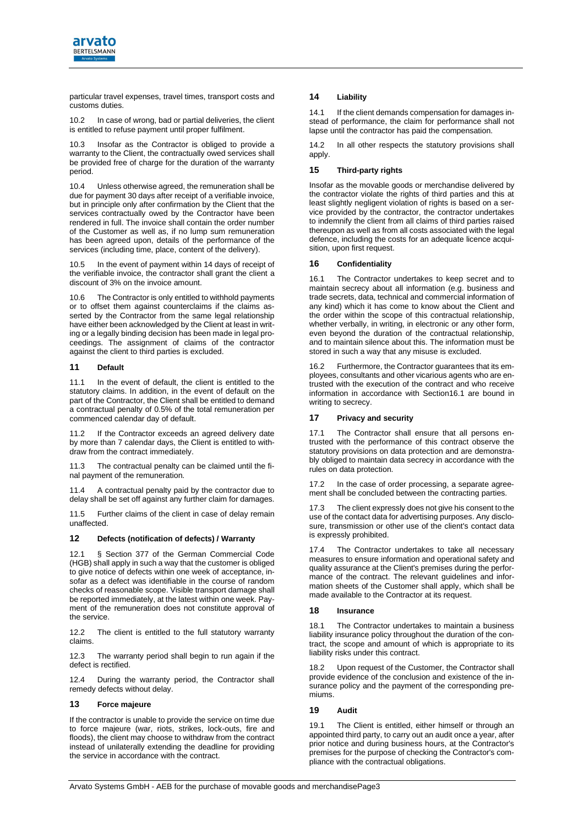

particular travel expenses, travel times, transport costs and customs duties.

10.2 In case of wrong, bad or partial deliveries, the client is entitled to refuse payment until proper fulfilment.

10.3 Insofar as the Contractor is obliged to provide a warranty to the Client, the contractually owed services shall be provided free of charge for the duration of the warranty period.

10.4 Unless otherwise agreed, the remuneration shall be due for payment 30 days after receipt of a verifiable invoice, but in principle only after confirmation by the Client that the services contractually owed by the Contractor have been rendered in full. The invoice shall contain the order number of the Customer as well as, if no lump sum remuneration has been agreed upon, details of the performance of the services (including time, place, content of the delivery).

10.5 In the event of payment within 14 days of receipt of the verifiable invoice, the contractor shall grant the client a discount of 3% on the invoice amount.

10.6 The Contractor is only entitled to withhold payments or to offset them against counterclaims if the claims asserted by the Contractor from the same legal relationship have either been acknowledged by the Client at least in writing or a legally binding decision has been made in legal proceedings. The assignment of claims of the contractor against the client to third parties is excluded.

# **11 Default**

11.1 In the event of default, the client is entitled to the statutory claims. In addition, in the event of default on the part of the Contractor, the Client shall be entitled to demand a contractual penalty of 0.5% of the total remuneration per commenced calendar day of default.

11.2 If the Contractor exceeds an agreed delivery date by more than 7 calendar days, the Client is entitled to withdraw from the contract immediately.

11.3 The contractual penalty can be claimed until the final payment of the remuneration.

11.4 A contractual penalty paid by the contractor due to delay shall be set off against any further claim for damages.

11.5 Further claims of the client in case of delay remain unaffected.

## **12 Defects (notification of defects) / Warranty**

12.1 § Section 377 of the German Commercial Code (HGB) shall apply in such a way that the customer is obliged to give notice of defects within one week of acceptance, insofar as a defect was identifiable in the course of random checks of reasonable scope. Visible transport damage shall be reported immediately, at the latest within one week. Payment of the remuneration does not constitute approval of the service.

12.2 The client is entitled to the full statutory warranty claims.

12.3 The warranty period shall begin to run again if the defect is rectified.

12.4 During the warranty period, the Contractor shall remedy defects without delay.

## **13 Force majeure**

If the contractor is unable to provide the service on time due to force majeure (war, riots, strikes, lock-outs, fire and floods), the client may choose to withdraw from the contract instead of unilaterally extending the deadline for providing the service in accordance with the contract.

# **14 Liability**

14.1 If the client demands compensation for damages instead of performance, the claim for performance shall not lapse until the contractor has paid the compensation.

14.2 In all other respects the statutory provisions shall apply.

# **15 Third-party rights**

Insofar as the movable goods or merchandise delivered by the contractor violate the rights of third parties and this at least slightly negligent violation of rights is based on a service provided by the contractor, the contractor undertakes to indemnify the client from all claims of third parties raised thereupon as well as from all costs associated with the legal defence, including the costs for an adequate licence acquisition, upon first request.

# **16 Confidentiality**

<span id="page-2-0"></span>16.1 The Contractor undertakes to keep secret and to maintain secrecy about all information (e.g. business and trade secrets, data, technical and commercial information of any kind) which it has come to know about the Client and the order within the scope of this contractual relationship, whether verbally, in writing, in electronic or any other form, even beyond the duration of the contractual relationship, and to maintain silence about this. The information must be stored in such a way that any misuse is excluded.

16.2 Furthermore, the Contractor guarantees that its employees, consultants and other vicarious agents who are entrusted with the execution of the contract and who receive information in accordance with Sectio[n16.1](#page-2-0) are bound in writing to secrecy.

# **17 Privacy and security**

17.1 The Contractor shall ensure that all persons entrusted with the performance of this contract observe the statutory provisions on data protection and are demonstrably obliged to maintain data secrecy in accordance with the rules on data protection.

17.2 In the case of order processing, a separate agreement shall be concluded between the contracting parties.

17.3 The client expressly does not give his consent to the use of the contact data for advertising purposes. Any disclosure, transmission or other use of the client's contact data is expressly prohibited.

17.4 The Contractor undertakes to take all necessary measures to ensure information and operational safety and quality assurance at the Client's premises during the performance of the contract. The relevant guidelines and information sheets of the Customer shall apply, which shall be made available to the Contractor at its request.

## **18 Insurance**

18.1 The Contractor undertakes to maintain a business liability insurance policy throughout the duration of the contract, the scope and amount of which is appropriate to its liability risks under this contract.

18.2 Upon request of the Customer, the Contractor shall provide evidence of the conclusion and existence of the insurance policy and the payment of the corresponding premiums.

# **19 Audit**

19.1 The Client is entitled, either himself or through an appointed third party, to carry out an audit once a year, after prior notice and during business hours, at the Contractor's premises for the purpose of checking the Contractor's compliance with the contractual obligations.